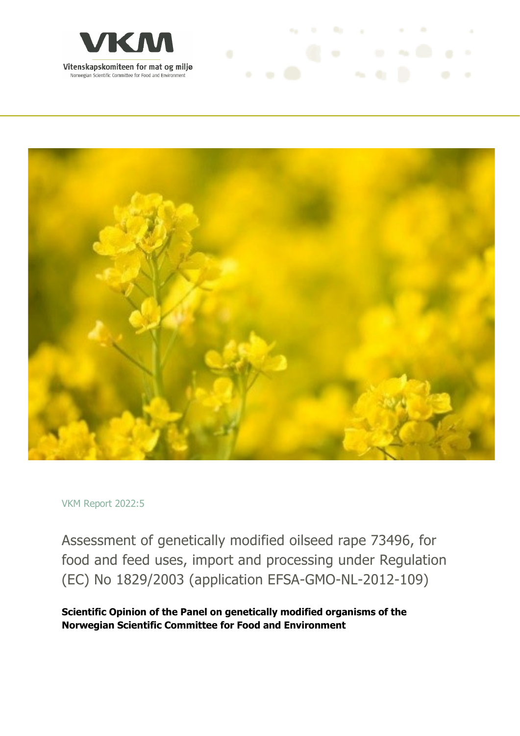



**Controller State Controller** 

VKM Report 2022:5

Assessment of genetically modified oilseed rape 73496, for food and feed uses, import and processing under Regulation (EC) No 1829/2003 (application EFSA‐GMO‐NL‐2012‐109)

**Scientific Opinion of the Panel on genetically modified organisms of the Norwegian Scientific Committee for Food and Environment**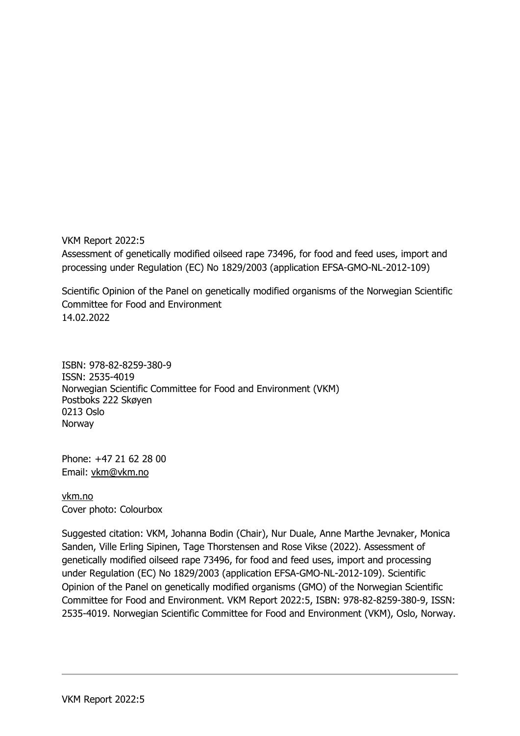VKM Report 2022:5 Assessment of genetically modified oilseed rape 73496, for food and feed uses, import and processing under Regulation (EC) No 1829/2003 (application EFSA‐GMO‐NL‐2012‐109)

Scientific Opinion of the Panel on genetically modified organisms of the Norwegian Scientific Committee for Food and Environment 14.02.2022

ISBN: 978-82-8259-380-9 ISSN: 2535-4019 Norwegian Scientific Committee for Food and Environment (VKM) Postboks 222 Skøyen 0213 Oslo Norway

Phone: +47 21 62 28 00 Email: vkm@vkm.no

vkm.no Cover photo: Colourbox

Suggested citation: VKM, Johanna Bodin (Chair), Nur Duale, Anne Marthe Jevnaker, Monica Sanden, Ville Erling Sipinen, Tage Thorstensen and Rose Vikse (2022). Assessment of genetically modified oilseed rape 73496, for food and feed uses, import and processing under Regulation (EC) No 1829/2003 (application EFSA‐GMO‐NL‐2012‐109). Scientific Opinion of the Panel on genetically modified organisms (GMO) of the Norwegian Scientific Committee for Food and Environment. VKM Report 2022:5, ISBN: 978-82-8259-380-9, ISSN: 2535-4019. Norwegian Scientific Committee for Food and Environment (VKM), Oslo, Norway.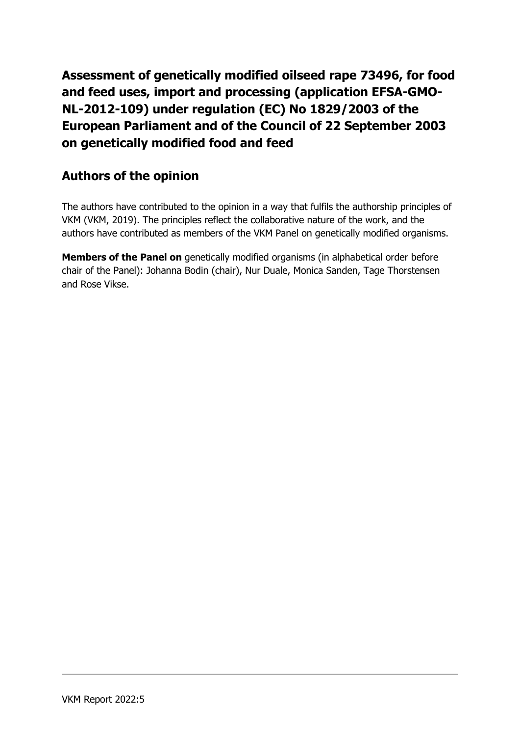**Assessment of genetically modified oilseed rape 73496, for food and feed uses, import and processing (application EFSA‐GMO‐ NL‐2012-109) under regulation (EC) No 1829/2003 of the European Parliament and of the Council of 22 September 2003 on genetically modified food and feed**

## **Authors of the opinion**

The authors have contributed to the opinion in a way that fulfils the authorship principles of VKM (VKM, 2019). The principles reflect the collaborative nature of the work, and the authors have contributed as members of the VKM Panel on genetically modified organisms.

**Members of the Panel on** genetically modified organisms (in alphabetical order before chair of the Panel): Johanna Bodin (chair), Nur Duale, Monica Sanden, Tage Thorstensen and Rose Vikse.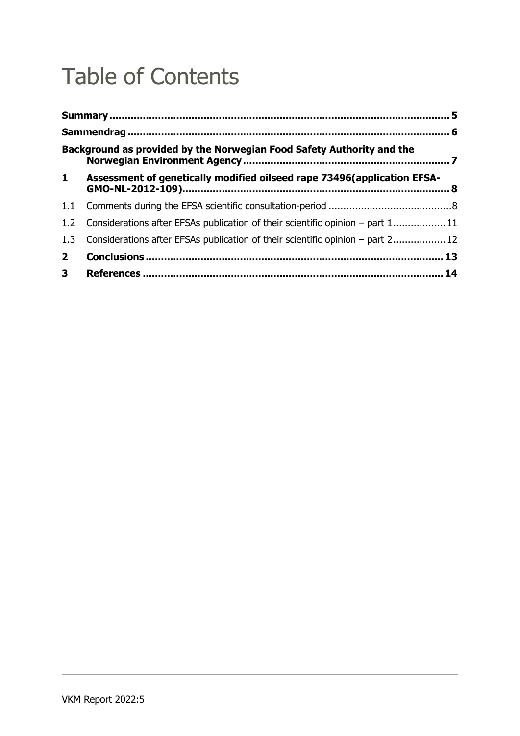# Table of Contents

|                | Background as provided by the Norwegian Food Safety Authority and the             |  |  |  |  |  |
|----------------|-----------------------------------------------------------------------------------|--|--|--|--|--|
| $\mathbf{1}$   | Assessment of genetically modified oilseed rape 73496(application EFSA-           |  |  |  |  |  |
| 1.1            |                                                                                   |  |  |  |  |  |
|                | 1.2 Considerations after EFSAs publication of their scientific opinion – part 111 |  |  |  |  |  |
| 1.3            | Considerations after EFSAs publication of their scientific opinion – part 2 12    |  |  |  |  |  |
| $2^{\circ}$    |                                                                                   |  |  |  |  |  |
| 3 <sup>7</sup> |                                                                                   |  |  |  |  |  |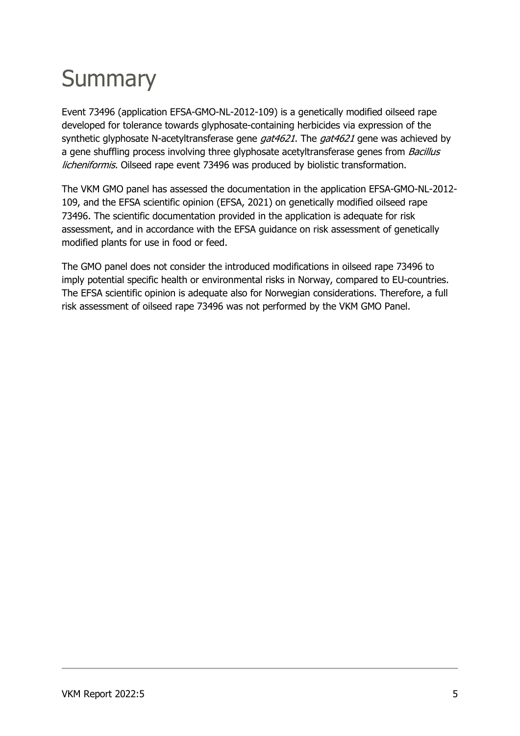# **Summary**

Event 73496 (application EFSA‐GMO‐NL‐2012‐109) is a genetically modified oilseed rape developed for tolerance towards glyphosate-containing herbicides via expression of the synthetic glyphosate N-acetyltransferase gene *gat4621*. The *gat4621* gene was achieved by a gene shuffling process involving three glyphosate acetyltransferase genes from *Bacillus* licheniformis. Oilseed rape event 73496 was produced by biolistic transformation.

The VKM GMO panel has assessed the documentation in the application EFSA‐GMO‐NL‐2012‐ 109, and the EFSA scientific opinion (EFSA, 2021) on genetically modified oilseed rape 73496. The scientific documentation provided in the application is adequate for risk assessment, and in accordance with the EFSA guidance on risk assessment of genetically modified plants for use in food or feed.

The GMO panel does not consider the introduced modifications in oilseed rape 73496 to imply potential specific health or environmental risks in Norway, compared to EU-countries. The EFSA scientific opinion is adequate also for Norwegian considerations. Therefore, a full risk assessment of oilseed rape 73496 was not performed by the VKM GMO Panel.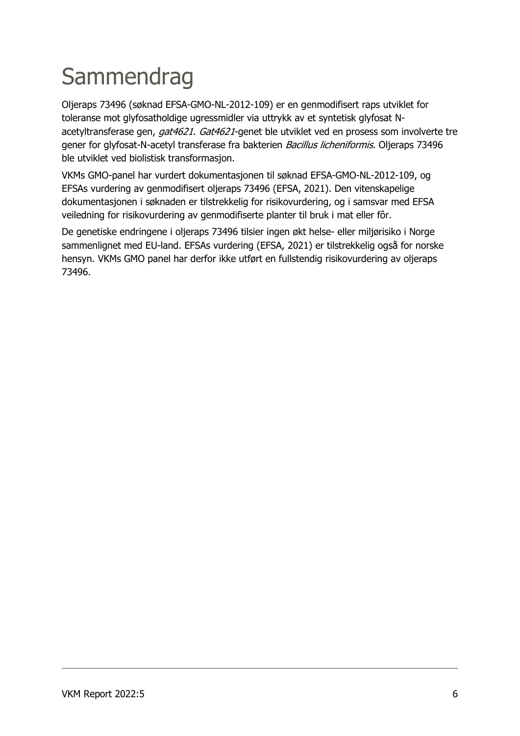# **Sammendrag**

Oljeraps 73496 (søknad EFSA‐GMO‐NL‐2012‐109) er en genmodifisert raps utviklet for toleranse mot glyfosatholdige ugressmidler via uttrykk av et syntetisk glyfosat Nacetyltransferase gen, gat4621. Gat4621-genet ble utviklet ved en prosess som involverte tre gener for glyfosat-N-acetyl transferase fra bakterien Bacillus licheniformis. Oljeraps 73496 ble utviklet ved biolistisk transformasjon.

VKMs GMO-panel har vurdert dokumentasjonen til søknad EFSA‐GMO‐NL‐2012‐109, og EFSAs vurdering av genmodifisert oljeraps 73496 (EFSA, 2021). Den vitenskapelige dokumentasjonen i søknaden er tilstrekkelig for risikovurdering, og i samsvar med EFSA veiledning for risikovurdering av genmodifiserte planter til bruk i mat eller fôr.

De genetiske endringene i oljeraps 73496 tilsier ingen økt helse- eller miljørisiko i Norge sammenlignet med EU-land. EFSAs vurdering (EFSA, 2021) er tilstrekkelig også for norske hensyn. VKMs GMO panel har derfor ikke utført en fullstendig risikovurdering av oljeraps 73496.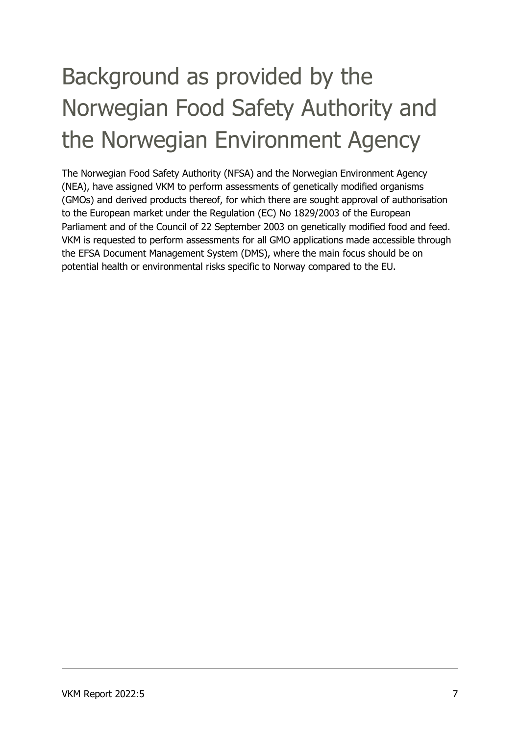# Background as provided by the Norwegian Food Safety Authority and the Norwegian Environment Agency

The Norwegian Food Safety Authority (NFSA) and the Norwegian Environment Agency (NEA), have assigned VKM to perform assessments of genetically modified organisms (GMOs) and derived products thereof, for which there are sought approval of authorisation to the European market under the Regulation (EC) No 1829/2003 of the European Parliament and of the Council of 22 September 2003 on genetically modified food and feed. VKM is requested to perform assessments for all GMO applications made accessible through the EFSA Document Management System (DMS), where the main focus should be on potential health or environmental risks specific to Norway compared to the EU.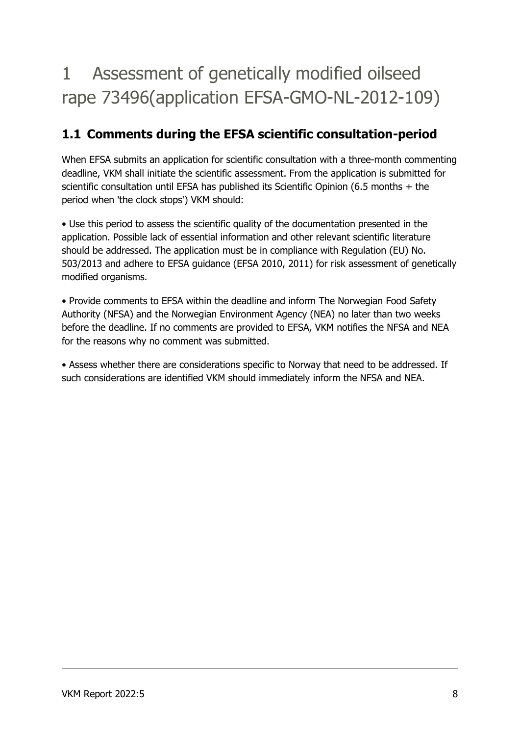## 1 Assessment of genetically modified oilseed rape 73496(application EFSA‐GMO‐NL‐2012‐109)

## **1.1 Comments during the EFSA scientific consultation-period**

When EFSA submits an application for scientific consultation with a three-month commenting deadline, VKM shall initiate the scientific assessment. From the application is submitted for scientific consultation until EFSA has published its Scientific Opinion (6.5 months + the period when 'the clock stops') VKM should:

• Use this period to assess the scientific quality of the documentation presented in the application. Possible lack of essential information and other relevant scientific literature should be addressed. The application must be in compliance with Regulation (EU) No. 503/2013 and adhere to EFSA guidance (EFSA 2010, 2011) for risk assessment of genetically modified organisms.

• Provide comments to EFSA within the deadline and inform The Norwegian Food Safety Authority (NFSA) and the Norwegian Environment Agency (NEA) no later than two weeks before the deadline. If no comments are provided to EFSA, VKM notifies the NFSA and NEA for the reasons why no comment was submitted.

• Assess whether there are considerations specific to Norway that need to be addressed. If such considerations are identified VKM should immediately inform the NFSA and NEA.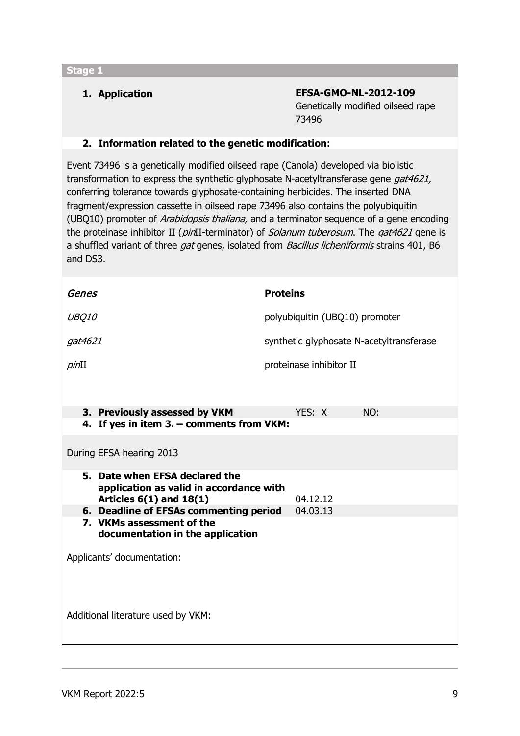**1. Application EFSA‐GMO‐NL‐2012-109** Genetically modified oilseed rape 73496

### **2. Information related to the genetic modification:**

Event 73496 is a genetically modified oilseed rape (Canola) developed via biolistic transformation to express the synthetic glyphosate N-acetyltransferase gene gat4621, conferring tolerance towards glyphosate-containing herbicides. The inserted DNA fragment/expression cassette in oilseed rape 73496 also contains the polyubiquitin (UBQ10) promoter of Arabidopsis thaliana, and a terminator sequence of a gene encoding the proteinase inhibitor II (pinII-terminator) of Solanum tuberosum. The gat4621 gene is a shuffled variant of three gat genes, isolated from Bacillus licheniformis strains 401, B6 and DS3.

| UBQ10<br>polyubiquitin (UBQ10) promoter<br>synthetic glyphosate N-acetyltransferase<br>gat4621                       |  |  |  |  |  |  |  |
|----------------------------------------------------------------------------------------------------------------------|--|--|--|--|--|--|--|
|                                                                                                                      |  |  |  |  |  |  |  |
|                                                                                                                      |  |  |  |  |  |  |  |
| proteinase inhibitor II<br>pinI                                                                                      |  |  |  |  |  |  |  |
|                                                                                                                      |  |  |  |  |  |  |  |
| 3. Previously assessed by VKM<br>YES: X<br>NO:                                                                       |  |  |  |  |  |  |  |
| 4. If yes in item 3. - comments from VKM:                                                                            |  |  |  |  |  |  |  |
| During EFSA hearing 2013                                                                                             |  |  |  |  |  |  |  |
| 5. Date when EFSA declared the<br>application as valid in accordance with<br>Articles $6(1)$ and $18(1)$<br>04.12.12 |  |  |  |  |  |  |  |
| 6. Deadline of EFSAs commenting period<br>04.03.13                                                                   |  |  |  |  |  |  |  |
| 7. VKMs assessment of the<br>documentation in the application                                                        |  |  |  |  |  |  |  |
| Applicants' documentation:                                                                                           |  |  |  |  |  |  |  |
|                                                                                                                      |  |  |  |  |  |  |  |
| Additional literature used by VKM:                                                                                   |  |  |  |  |  |  |  |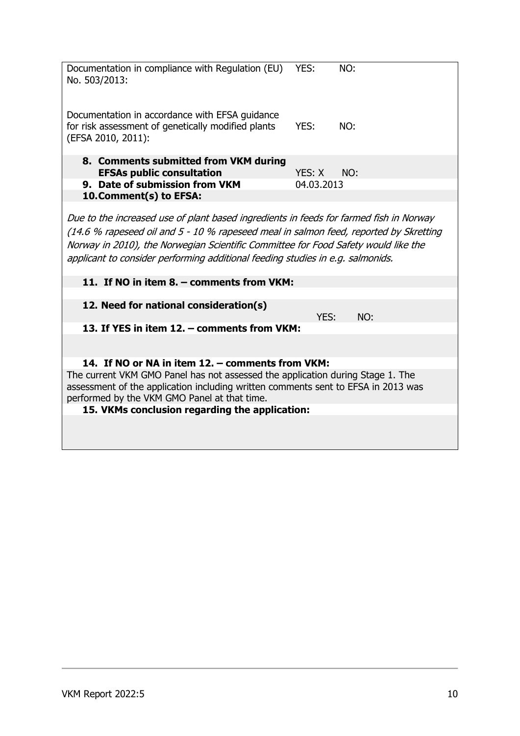| Documentation in compliance with Regulation (EU)<br>No. 503/2013:                                                                                                                                                                                                                                                                                       | YES:       | NO: |  |  |  |  |
|---------------------------------------------------------------------------------------------------------------------------------------------------------------------------------------------------------------------------------------------------------------------------------------------------------------------------------------------------------|------------|-----|--|--|--|--|
| Documentation in accordance with EFSA guidance<br>for risk assessment of genetically modified plants<br>(EFSA 2010, 2011):                                                                                                                                                                                                                              | YES:       | NO: |  |  |  |  |
| 8. Comments submitted from VKM during                                                                                                                                                                                                                                                                                                                   |            |     |  |  |  |  |
| <b>EFSAs public consultation</b>                                                                                                                                                                                                                                                                                                                        | YES: X     | NO: |  |  |  |  |
| 9. Date of submission from VKM                                                                                                                                                                                                                                                                                                                          | 04.03.2013 |     |  |  |  |  |
| 10.Comment(s) to EFSA:                                                                                                                                                                                                                                                                                                                                  |            |     |  |  |  |  |
| Due to the increased use of plant based ingredients in feeds for farmed fish in Norway<br>(14.6 % rapeseed oil and 5 - 10 % rapeseed meal in salmon feed, reported by Skretting<br>Norway in 2010), the Norwegian Scientific Committee for Food Safety would like the<br>applicant to consider performing additional feeding studies in e.g. salmonids. |            |     |  |  |  |  |
| 11. If NO in item 8. - comments from VKM:                                                                                                                                                                                                                                                                                                               |            |     |  |  |  |  |
|                                                                                                                                                                                                                                                                                                                                                         |            |     |  |  |  |  |
| 12. Need for national consideration(s)                                                                                                                                                                                                                                                                                                                  | YES:       | NO: |  |  |  |  |
| 13. If YES in item 12. - comments from VKM:                                                                                                                                                                                                                                                                                                             |            |     |  |  |  |  |
|                                                                                                                                                                                                                                                                                                                                                         |            |     |  |  |  |  |
| 14. If NO or NA in item 12. – comments from VKM:                                                                                                                                                                                                                                                                                                        |            |     |  |  |  |  |
| The current VKM GMO Panel has not assessed the application during Stage 1. The<br>assessment of the application including written comments sent to EFSA in 2013 was<br>performed by the VKM GMO Panel at that time.                                                                                                                                     |            |     |  |  |  |  |
| 15. VKMs conclusion regarding the application:                                                                                                                                                                                                                                                                                                          |            |     |  |  |  |  |
|                                                                                                                                                                                                                                                                                                                                                         |            |     |  |  |  |  |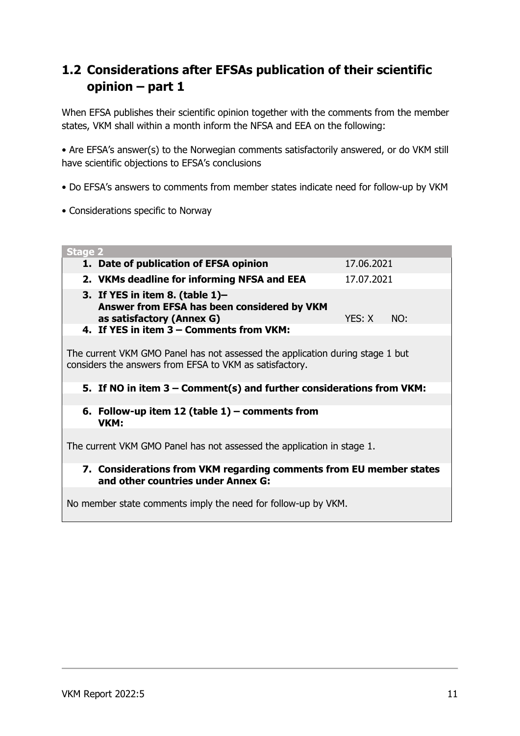## **1.2 Considerations after EFSAs publication of their scientific opinion – part 1**

When EFSA publishes their scientific opinion together with the comments from the member states, VKM shall within a month inform the NFSA and EEA on the following:

• Are EFSA's answer(s) to the Norwegian comments satisfactorily answered, or do VKM still have scientific objections to EFSA's conclusions

- Do EFSA's answers to comments from member states indicate need for follow-up by VKM
- Considerations specific to Norway

| <b>Stage 2</b>                                                                                                                           |            |     |  |  |  |
|------------------------------------------------------------------------------------------------------------------------------------------|------------|-----|--|--|--|
| 1. Date of publication of EFSA opinion                                                                                                   | 17.06.2021 |     |  |  |  |
| 2. VKMs deadline for informing NFSA and EEA                                                                                              | 17.07.2021 |     |  |  |  |
| 3. If YES in item 8. (table $1$ )-<br>Answer from EFSA has been considered by VKM<br>as satisfactory (Annex G)                           | YES: X     | NO: |  |  |  |
| 4. If YES in item 3 - Comments from VKM:                                                                                                 |            |     |  |  |  |
| The current VKM GMO Panel has not assessed the application during stage 1 but<br>considers the answers from EFSA to VKM as satisfactory. |            |     |  |  |  |
| 5. If NO in item $3$ – Comment(s) and further considerations from VKM:                                                                   |            |     |  |  |  |
|                                                                                                                                          |            |     |  |  |  |
| 6. Follow-up item 12 (table $1$ ) – comments from<br>VKM:                                                                                |            |     |  |  |  |
| The current VKM GMO Panel has not assessed the application in stage 1.                                                                   |            |     |  |  |  |
| 7. Considerations from VKM regarding comments from EU member states<br>and other countries under Annex G:                                |            |     |  |  |  |
| No member state comments imply the need for follow-up by VKM.                                                                            |            |     |  |  |  |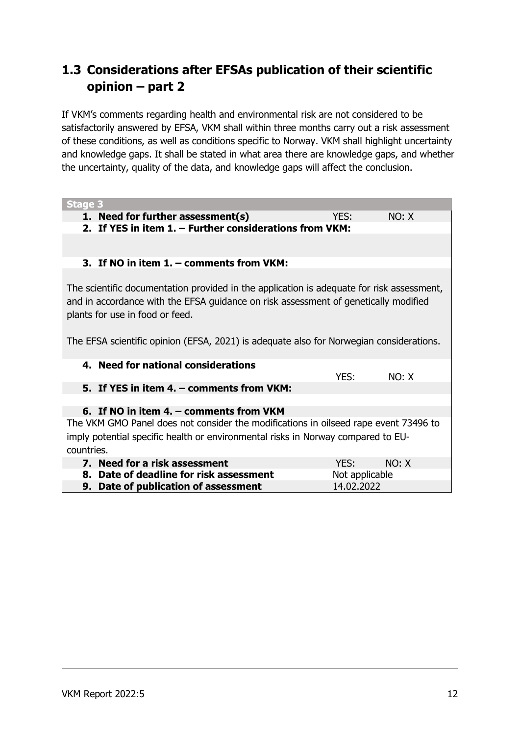## **1.3 Considerations after EFSAs publication of their scientific opinion – part 2**

If VKM's comments regarding health and environmental risk are not considered to be satisfactorily answered by EFSA, VKM shall within three months carry out a risk assessment of these conditions, as well as conditions specific to Norway. VKM shall highlight uncertainty and knowledge gaps. It shall be stated in what area there are knowledge gaps, and whether the uncertainty, quality of the data, and knowledge gaps will affect the conclusion.

| <b>Stage 3</b>                                                                                                                                                                                                      |                |       |  |  |  |  |
|---------------------------------------------------------------------------------------------------------------------------------------------------------------------------------------------------------------------|----------------|-------|--|--|--|--|
| 1. Need for further assessment(s)                                                                                                                                                                                   | YES:           | NO: X |  |  |  |  |
| 2. If YES in item 1. - Further considerations from VKM:                                                                                                                                                             |                |       |  |  |  |  |
|                                                                                                                                                                                                                     |                |       |  |  |  |  |
| 3. If NO in item 1. - comments from VKM:                                                                                                                                                                            |                |       |  |  |  |  |
|                                                                                                                                                                                                                     |                |       |  |  |  |  |
| The scientific documentation provided in the application is adequate for risk assessment,<br>and in accordance with the EFSA guidance on risk assessment of genetically modified<br>plants for use in food or feed. |                |       |  |  |  |  |
| The EFSA scientific opinion (EFSA, 2021) is adequate also for Norwegian considerations.                                                                                                                             |                |       |  |  |  |  |
| 4. Need for national considerations                                                                                                                                                                                 |                |       |  |  |  |  |
|                                                                                                                                                                                                                     | YES:           | NO: X |  |  |  |  |
| 5. If YES in item 4. – comments from VKM:                                                                                                                                                                           |                |       |  |  |  |  |
|                                                                                                                                                                                                                     |                |       |  |  |  |  |
| 6. If NO in item 4. – comments from VKM                                                                                                                                                                             |                |       |  |  |  |  |
| The VKM GMO Panel does not consider the modifications in oilseed rape event 73496 to                                                                                                                                |                |       |  |  |  |  |
| imply potential specific health or environmental risks in Norway compared to EU-                                                                                                                                    |                |       |  |  |  |  |
| countries.                                                                                                                                                                                                          |                |       |  |  |  |  |
| 7. Need for a risk assessment                                                                                                                                                                                       | YFS:           | NO: X |  |  |  |  |
| 8. Date of deadline for risk assessment                                                                                                                                                                             | Not applicable |       |  |  |  |  |
| 9. Date of publication of assessment                                                                                                                                                                                | 14.02.2022     |       |  |  |  |  |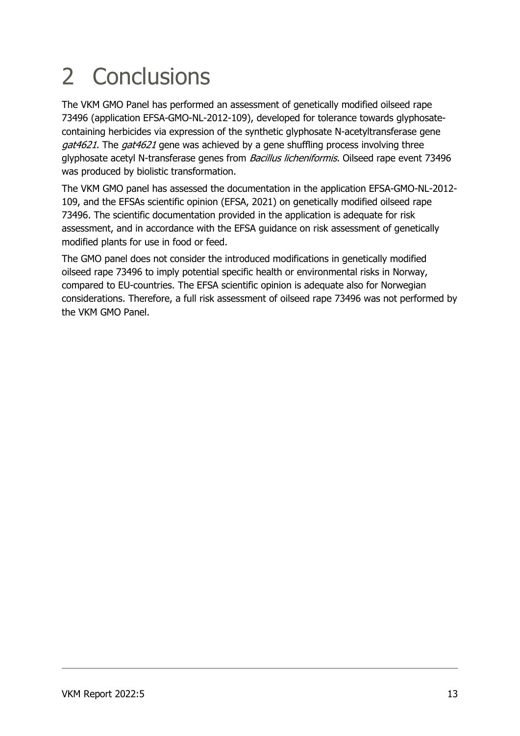# 2 Conclusions

The VKM GMO Panel has performed an assessment of genetically modified oilseed rape 73496 (application EFSA‐GMO‐NL‐2012‐109), developed for tolerance towards glyphosatecontaining herbicides via expression of the synthetic glyphosate N-acetyltransferase gene gat4621. The gat4621 gene was achieved by a gene shuffling process involving three glyphosate acetyl N-transferase genes from *Bacillus licheniformis*. Oilseed rape event 73496 was produced by biolistic transformation.

The VKM GMO panel has assessed the documentation in the application EFSA‐GMO‐NL‐2012‐ 109, and the EFSAs scientific opinion (EFSA, 2021) on genetically modified oilseed rape 73496. The scientific documentation provided in the application is adequate for risk assessment, and in accordance with the EFSA guidance on risk assessment of genetically modified plants for use in food or feed.

The GMO panel does not consider the introduced modifications in genetically modified oilseed rape 73496 to imply potential specific health or environmental risks in Norway, compared to EU-countries. The EFSA scientific opinion is adequate also for Norwegian considerations. Therefore, a full risk assessment of oilseed rape 73496 was not performed by the VKM GMO Panel.